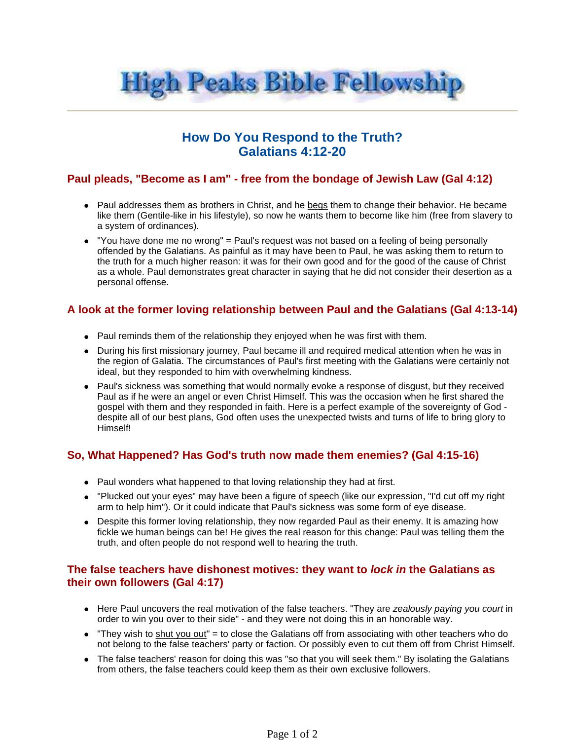

# **How Do You Respond to the Truth? Galatians 4:12-20**

# **Paul pleads, "Become as I am" - free from the bondage of Jewish Law (Gal 4:12)**

- Paul addresses them as brothers in Christ, and he begs them to change their behavior. He became like them (Gentile-like in his lifestyle), so now he wants them to become like him (free from slavery to a system of ordinances).
- "You have done me no wrong" = Paul's request was not based on a feeling of being personally offended by the Galatians. As painful as it may have been to Paul, he was asking them to return to the truth for a much higher reason: it was for their own good and for the good of the cause of Christ as a whole. Paul demonstrates great character in saying that he did not consider their desertion as a personal offense.

## **A look at the former loving relationship between Paul and the Galatians (Gal 4:13-14)**

- Paul reminds them of the relationship they enjoyed when he was first with them.
- During his first missionary journey, Paul became ill and required medical attention when he was in the region of Galatia. The circumstances of Paul's first meeting with the Galatians were certainly not ideal, but they responded to him with overwhelming kindness.
- Paul's sickness was something that would normally evoke a response of disgust, but they received Paul as if he were an angel or even Christ Himself. This was the occasion when he first shared the gospel with them and they responded in faith. Here is a perfect example of the sovereignty of God despite all of our best plans, God often uses the unexpected twists and turns of life to bring glory to Himself!

# **So, What Happened? Has God's truth now made them enemies? (Gal 4:15-16)**

- Paul wonders what happened to that loving relationship they had at first.
- "Plucked out your eyes" may have been a figure of speech (like our expression, "I'd cut off my right arm to help him"). Or it could indicate that Paul's sickness was some form of eye disease.
- Despite this former loving relationship, they now regarded Paul as their enemy. It is amazing how fickle we human beings can be! He gives the real reason for this change: Paul was telling them the truth, and often people do not respond well to hearing the truth.

#### **The false teachers have dishonest motives: they want to lock in the Galatians as their own followers (Gal 4:17)**

- Here Paul uncovers the real motivation of the false teachers. "They are zealously paying you court in order to win you over to their side" - and they were not doing this in an honorable way.
- "They wish to shut you out" = to close the Galatians off from associating with other teachers who do not belong to the false teachers' party or faction. Or possibly even to cut them off from Christ Himself.
- The false teachers' reason for doing this was "so that you will seek them." By isolating the Galatians from others, the false teachers could keep them as their own exclusive followers.